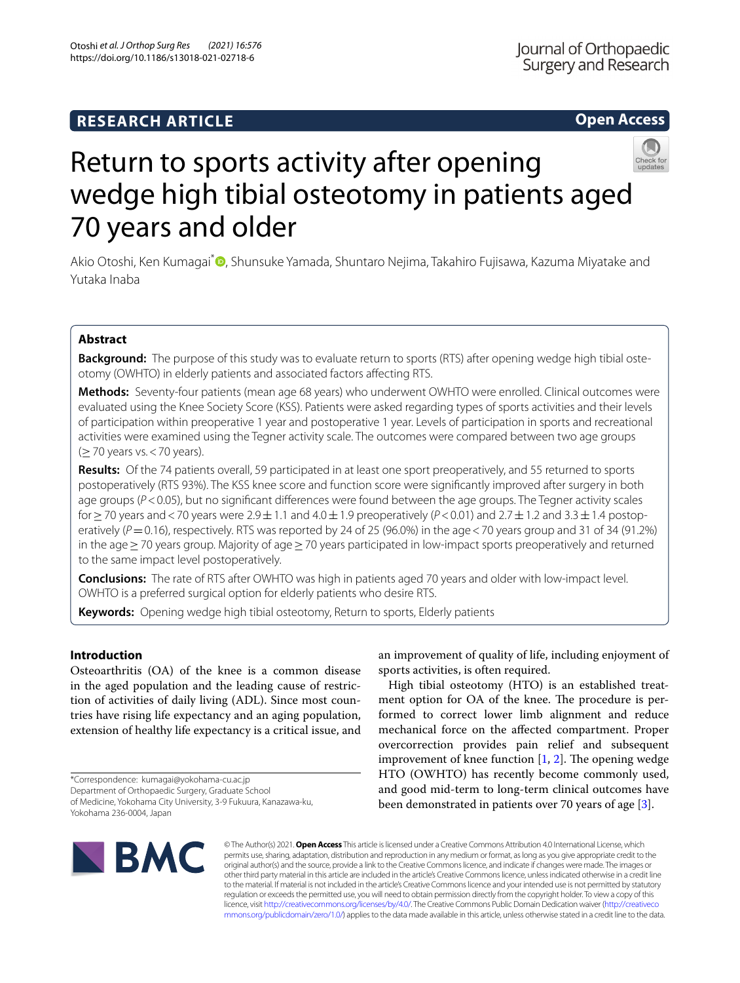# **RESEARCH ARTICLE**

## **Open Access**



# Return to sports activity after opening wedge high tibial osteotomy in patients aged 70 years and older

Akio Otoshi[,](http://orcid.org/0000-0002-7529-0343) Ken Kumagai<sup>\*</sup> , Shunsuke Yamada, Shuntaro Nejima, Takahiro Fujisawa, Kazuma Miyatake and Yutaka Inaba

## **Abstract**

**Background:** The purpose of this study was to evaluate return to sports (RTS) after opening wedge high tibial osteotomy (OWHTO) in elderly patients and associated factors afecting RTS.

**Methods:** Seventy-four patients (mean age 68 years) who underwent OWHTO were enrolled. Clinical outcomes were evaluated using the Knee Society Score (KSS). Patients were asked regarding types of sports activities and their levels of participation within preoperative 1 year and postoperative 1 year. Levels of participation in sports and recreational activities were examined using the Tegner activity scale. The outcomes were compared between two age groups  $(≥70$  years vs. < 70 years).

**Results:** Of the 74 patients overall, 59 participated in at least one sport preoperatively, and 55 returned to sports postoperatively (RTS 93%). The KSS knee score and function score were signifcantly improved after surgery in both age groups ( $P$ <0.05), but no significant differences were found between the age groups. The Tegner activity scales for≥70 years and<70 years were 2.9±1.1 and 4.0±1.9 preoperatively (*P*<0.01) and 2.7±1.2 and 3.3±1.4 postoperatively  $(P=0.16)$ , respectively. RTS was reported by 24 of 25 (96.0%) in the age < 70 years group and 31 of 34 (91.2%) in the age≥70 years group. Majority of age≥70 years participated in low-impact sports preoperatively and returned to the same impact level postoperatively.

**Conclusions:** The rate of RTS after OWHTO was high in patients aged 70 years and older with low-impact level. OWHTO is a preferred surgical option for elderly patients who desire RTS.

**Keywords:** Opening wedge high tibial osteotomy, Return to sports, Elderly patients

## **Introduction**

Osteoarthritis (OA) of the knee is a common disease in the aged population and the leading cause of restriction of activities of daily living (ADL). Since most countries have rising life expectancy and an aging population, extension of healthy life expectancy is a critical issue, and

\*Correspondence: kumagai@yokohama-cu.ac.jp

Department of Orthopaedic Surgery, Graduate School

of Medicine, Yokohama City University, 3-9 Fukuura, Kanazawa-ku, Yokohama 236-0004, Japan

an improvement of quality of life, including enjoyment of sports activities, is often required.

High tibial osteotomy (HTO) is an established treatment option for OA of the knee. The procedure is performed to correct lower limb alignment and reduce mechanical force on the afected compartment. Proper overcorrection provides pain relief and subsequent improvement of knee function  $[1, 2]$  $[1, 2]$  $[1, 2]$  $[1, 2]$ . The opening wedge HTO (OWHTO) has recently become commonly used, and good mid-term to long-term clinical outcomes have been demonstrated in patients over 70 years of age [\[3](#page-6-2)].



© The Author(s) 2021. **Open Access** This article is licensed under a Creative Commons Attribution 4.0 International License, which permits use, sharing, adaptation, distribution and reproduction in any medium or format, as long as you give appropriate credit to the original author(s) and the source, provide a link to the Creative Commons licence, and indicate if changes were made. The images or other third party material in this article are included in the article's Creative Commons licence, unless indicated otherwise in a credit line to the material. If material is not included in the article's Creative Commons licence and your intended use is not permitted by statutory regulation or exceeds the permitted use, you will need to obtain permission directly from the copyright holder. To view a copy of this licence, visit [http://creativecommons.org/licenses/by/4.0/.](http://creativecommons.org/licenses/by/4.0/) The Creative Commons Public Domain Dedication waiver ([http://creativeco](http://creativecommons.org/publicdomain/zero/1.0/) [mmons.org/publicdomain/zero/1.0/](http://creativecommons.org/publicdomain/zero/1.0/)) applies to the data made available in this article, unless otherwise stated in a credit line to the data.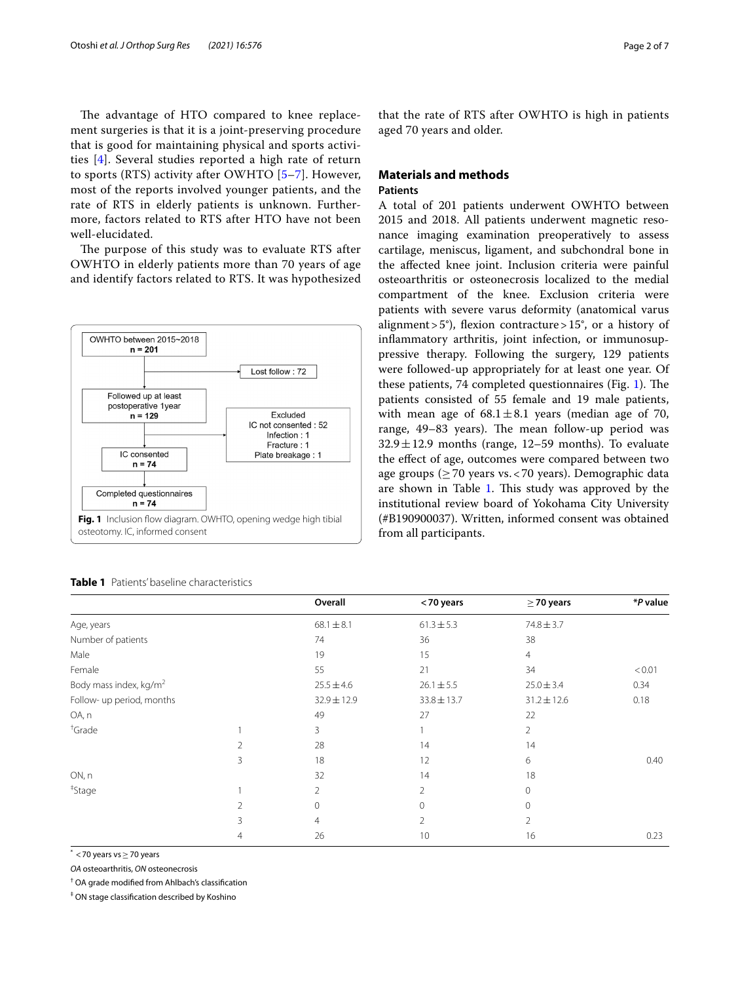The advantage of HTO compared to knee replacement surgeries is that it is a joint-preserving procedure that is good for maintaining physical and sports activities [\[4\]](#page-6-3). Several studies reported a high rate of return to sports (RTS) activity after OWHTO [\[5](#page-6-4)–[7\]](#page-6-5). However, most of the reports involved younger patients, and the rate of RTS in elderly patients is unknown. Furthermore, factors related to RTS after HTO have not been well-elucidated.

The purpose of this study was to evaluate RTS after OWHTO in elderly patients more than 70 years of age and identify factors related to RTS. It was hypothesized



|                                    |   | Overall        | <70 years       | $\geq$ 70 years | *P value |
|------------------------------------|---|----------------|-----------------|-----------------|----------|
| Age, years                         |   | $68.1 \pm 8.1$ | $61.3 \pm 5.3$  | $74.8 \pm 3.7$  |          |
| Number of patients                 |   | 74             | 36              | 38              |          |
| Male                               |   | 19             | 15              | $\overline{4}$  |          |
| Female                             |   | 55             | 21              | 34              | < 0.01   |
| Body mass index, kg/m <sup>2</sup> |   | $25.5 \pm 4.6$ | $26.1 \pm 5.5$  | $25.0 \pm 3.4$  | 0.34     |
| Follow- up period, months          |   | 32.9±12.9      | $33.8 \pm 13.7$ | $31.2 \pm 12.6$ | 0.18     |
| OA, n                              |   | 49             | 27              | 22              |          |
| <sup>+</sup> Grade                 |   | 3              |                 | $\overline{2}$  |          |
|                                    | 2 | 28             | 14              | 14              |          |
|                                    | 3 | 18             | 12              | 6               | 0.40     |
| ON, n                              |   | 32             | 14              | 18              |          |
| <sup>‡</sup> Stage                 |   | 2              | 2               | $\Omega$        |          |
|                                    | 2 | 0              | 0               | $\Omega$        |          |
|                                    | 3 | $\overline{4}$ | 2               | $\overline{2}$  |          |
|                                    | 4 | 26             | 10              | 16              | 0.23     |
|                                    |   |                |                 |                 |          |

#### <span id="page-1-1"></span><span id="page-1-0"></span>**Table 1** Patients' baseline characteristics

that the rate of RTS after OWHTO is high in patients aged 70 years and older.

## **Materials and methods Patients**

A total of 201 patients underwent OWHTO between 2015 and 2018. All patients underwent magnetic resonance imaging examination preoperatively to assess cartilage, meniscus, ligament, and subchondral bone in the afected knee joint. Inclusion criteria were painful osteoarthritis or osteonecrosis localized to the medial compartment of the knee. Exclusion criteria were patients with severe varus deformity (anatomical varus alignment > 5°), flexion contracture > 15°, or a history of infammatory arthritis, joint infection, or immunosuppressive therapy. Following the surgery, 129 patients were followed-up appropriately for at least one year. Of these patients, 74 completed questionnaires (Fig. [1\)](#page-1-0). The patients consisted of 55 female and 19 male patients, with mean age of  $68.1 \pm 8.1$  years (median age of 70, range, 49–83 years). The mean follow-up period was  $32.9 \pm 12.9$  months (range, 12–59 months). To evaluate the efect of age, outcomes were compared between two age groups ( $\geq$  70 years vs. < 70 years). Demographic data are shown in Table [1.](#page-1-1) This study was approved by the institutional review board of Yokohama City University (#B190900037). Written, informed consent was obtained from all participants.

\* <70 years vs≥70 years

*OA* osteoarthritis, *ON* osteonecrosis

† OA grade modifed from Ahlbach's classifcation

‡ ON stage classifcation described by Koshino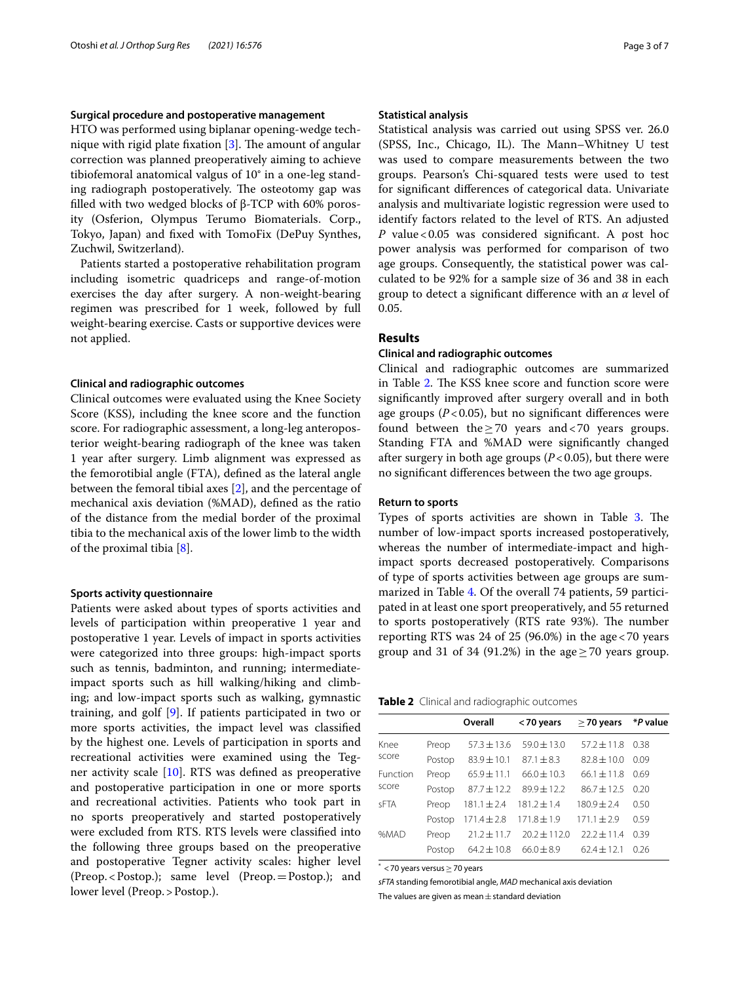## **Surgical procedure and postoperative management**

HTO was performed using biplanar opening-wedge technique with rigid plate fixation  $[3]$ . The amount of angular correction was planned preoperatively aiming to achieve tibiofemoral anatomical valgus of 10° in a one-leg standing radiograph postoperatively. The osteotomy gap was flled with two wedged blocks of β-TCP with 60% porosity (Osferion, Olympus Terumo Biomaterials. Corp., Tokyo, Japan) and fxed with TomoFix (DePuy Synthes, Zuchwil, Switzerland).

Patients started a postoperative rehabilitation program including isometric quadriceps and range-of-motion exercises the day after surgery. A non-weight-bearing regimen was prescribed for 1 week, followed by full weight-bearing exercise. Casts or supportive devices were not applied.

### **Clinical and radiographic outcomes**

Clinical outcomes were evaluated using the Knee Society Score (KSS), including the knee score and the function score. For radiographic assessment, a long-leg anteroposterior weight-bearing radiograph of the knee was taken 1 year after surgery. Limb alignment was expressed as the femorotibial angle (FTA), defned as the lateral angle between the femoral tibial axes [\[2](#page-6-1)], and the percentage of mechanical axis deviation (%MAD), defned as the ratio of the distance from the medial border of the proximal tibia to the mechanical axis of the lower limb to the width of the proximal tibia [\[8\]](#page-6-6).

## **Sports activity questionnaire**

Patients were asked about types of sports activities and levels of participation within preoperative 1 year and postoperative 1 year. Levels of impact in sports activities were categorized into three groups: high-impact sports such as tennis, badminton, and running; intermediateimpact sports such as hill walking/hiking and climbing; and low-impact sports such as walking, gymnastic training, and golf [[9\]](#page-6-7). If patients participated in two or more sports activities, the impact level was classifed by the highest one. Levels of participation in sports and recreational activities were examined using the Tegner activity scale [\[10\]](#page-6-8). RTS was defned as preoperative and postoperative participation in one or more sports and recreational activities. Patients who took part in no sports preoperatively and started postoperatively were excluded from RTS. RTS levels were classifed into the following three groups based on the preoperative and postoperative Tegner activity scales: higher level (Preop.<Postop.); same level (Preop.=Postop.); and lower level (Preop.>Postop.).

## **Statistical analysis**

Statistical analysis was carried out using SPSS ver. 26.0 (SPSS, Inc., Chicago, IL). The Mann–Whitney U test was used to compare measurements between the two groups. Pearson's Chi-squared tests were used to test for signifcant diferences of categorical data. Univariate analysis and multivariate logistic regression were used to identify factors related to the level of RTS. An adjusted *P* value < 0.05 was considered significant. A post hoc power analysis was performed for comparison of two age groups. Consequently, the statistical power was calculated to be 92% for a sample size of 36 and 38 in each group to detect a signifcant diference with an *α* level of 0.05.

## **Results**

## **Clinical and radiographic outcomes**

Clinical and radiographic outcomes are summarized in Table [2](#page-2-0). The KSS knee score and function score were signifcantly improved after surgery overall and in both age groups ( $P$ <0.05), but no significant differences were found between the  $>70$  years and  $<70$  years groups. Standing FTA and %MAD were signifcantly changed after surgery in both age groups  $(P<0.05)$ , but there were no signifcant diferences between the two age groups.

## **Return to sports**

Types of sports activities are shown in Table [3.](#page-3-0) The number of low-impact sports increased postoperatively, whereas the number of intermediate-impact and highimpact sports decreased postoperatively. Comparisons of type of sports activities between age groups are summarized in Table [4](#page-3-1). Of the overall 74 patients, 59 participated in at least one sport preoperatively, and 55 returned to sports postoperatively (RTS rate 93%). The number reporting RTS was 24 of 25 (96.0%) in the age<70 years group and 31 of 34 (91.2%) in the age  $\geq$  70 years group.

<span id="page-2-0"></span>**Table 2** Clinical and radiographic outcomes

|             |        | Overall         | <70 years        | $\geq$ 70 years | *P value |
|-------------|--------|-----------------|------------------|-----------------|----------|
| Knee        | Preop  | $57.3 \pm 13.6$ | $59.0 \pm 13.0$  | $57.2 \pm 11.8$ | 0.38     |
| score       | Postop | $83.9 \pm 10.1$ | $87.1 + 8.3$     | $82.8 \pm 10.0$ | 0.09     |
| Function    | Preop  | $65.9 \pm 11.1$ | $66.0 + 10.3$    | $66.1 \pm 11.8$ | 0.69     |
| score       | Postop | $87.7 \pm 12.2$ | $89.9 + 12.2$    | $86.7 + 12.5$   | 0.20     |
| <b>SFTA</b> | Preop  | $181.1 \pm 2.4$ | $181.2 \pm 1.4$  | $180.9 + 2.4$   | 0.50     |
|             | Postop | $171.4 \pm 2.8$ | $171.8 \pm 1.9$  | $171.1 \pm 2.9$ | 0.59     |
| %MAD        | Preop  | $21.2 \pm 11.7$ | $20.2 \pm 112.0$ | $22.2 \pm 11.4$ | 0.39     |
|             | Postop | $64.2 \pm 10.8$ | $66.0 + 8.9$     | $62.4 \pm 12.1$ | 0.26     |
|             |        |                 |                  |                 |          |

\* <70 years versus≥70 years

*sFTA* standing femorotibial angle, *MAD* mechanical axis deviation The values are given as mean $\pm$  standard deviation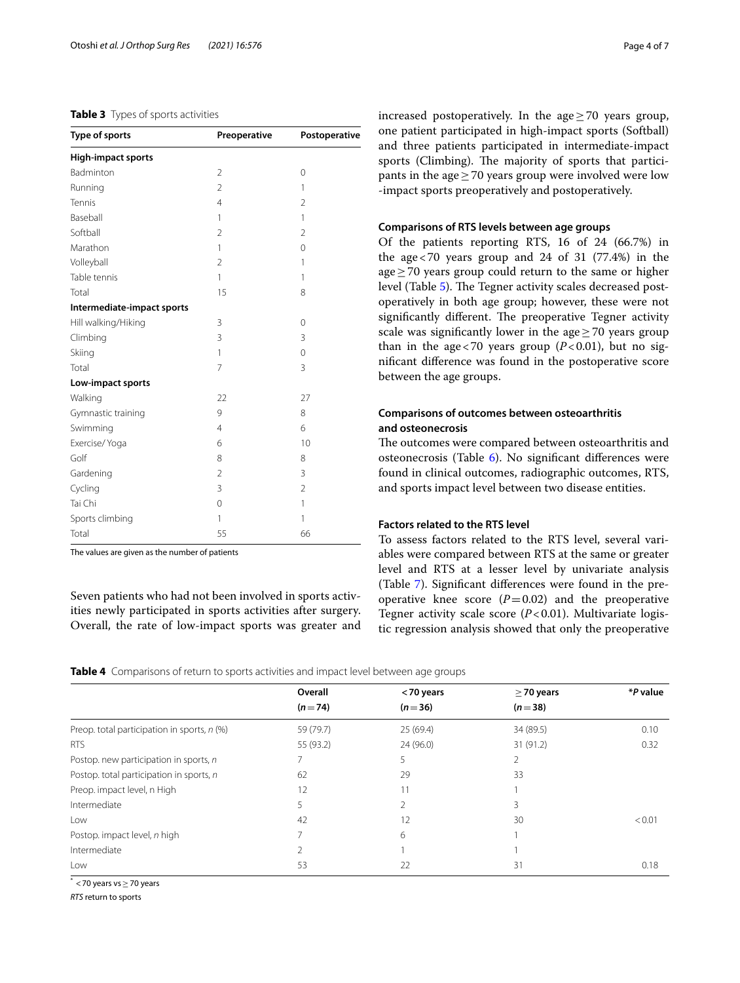## <span id="page-3-0"></span>**Table 3** Types of sports activities

| Type of sports             | Preoperative   | Postoperative  |
|----------------------------|----------------|----------------|
| <b>High-impact sports</b>  |                |                |
| Badminton                  | 2              | 0              |
| Running                    | $\overline{2}$ | 1              |
| Tennis                     | 4              | $\overline{2}$ |
| Baseball                   | 1              | 1              |
| Softball                   | 2              | $\overline{2}$ |
| Marathon                   | 1              | 0              |
| Volleyball                 | $\overline{2}$ | 1              |
| Table tennis               | 1              | 1              |
| Total                      | 15             | 8              |
| Intermediate-impact sports |                |                |
| Hill walking/Hiking        | 3              | 0              |
| Climbing                   | 3              | 3              |
| Skiing                     | 1              | $\mathbf 0$    |
| Total                      | 7              | 3              |
| Low-impact sports          |                |                |
| Walking                    | 22             | 27             |
| Gymnastic training         | 9              | 8              |
| Swimming                   | 4              | 6              |
| Exercise/ Yoga             | 6              | 10             |
| Golf                       | 8              | 8              |
| Gardening                  | $\overline{2}$ | 3              |
| Cycling                    | 3              | $\overline{2}$ |
| Tai Chi                    | 0              | 1              |
| Sports climbing            | 1              | $\mathbf{1}$   |
| Total                      | 55             | 66             |

The values are given as the number of patients

Seven patients who had not been involved in sports activities newly participated in sports activities after surgery. Overall, the rate of low-impact sports was greater and

increased postoperatively. In the age $>70$  years group, one patient participated in high-impact sports (Softball) and three patients participated in intermediate-impact sports (Climbing). The majority of sports that participants in the age $\geq$  70 years group were involved were low -impact sports preoperatively and postoperatively.

## **Comparisons of RTS levels between age groups**

Of the patients reporting RTS, 16 of 24 (66.7%) in the age<70 years group and 24 of 31 (77.4%) in the age≥70 years group could return to the same or higher level (Table [5\)](#page-4-0). The Tegner activity scales decreased postoperatively in both age group; however, these were not significantly different. The preoperative Tegner activity scale was significantly lower in the age $\geq$  70 years group than in the age < 70 years group  $(P<0.01)$ , but no signifcant diference was found in the postoperative score between the age groups.

## **Comparisons of outcomes between osteoarthritis and osteonecrosis**

The outcomes were compared between osteoarthritis and osteonecrosis (Table [6\)](#page-4-1). No signifcant diferences were found in clinical outcomes, radiographic outcomes, RTS, and sports impact level between two disease entities.

## **Factors related to the RTS level**

To assess factors related to the RTS level, several variables were compared between RTS at the same or greater level and RTS at a lesser level by univariate analysis (Table [7\)](#page-5-0). Signifcant diferences were found in the preoperative knee score  $(P=0.02)$  and the preoperative Tegner activity scale score (*P*<0.01). Multivariate logistic regression analysis showed that only the preoperative

<span id="page-3-1"></span>**Table 4** Comparisons of return to sports activities and impact level between age groups

|                                             | Overall   | <70 years | $\geq$ 70 years | *P value |
|---------------------------------------------|-----------|-----------|-----------------|----------|
|                                             | $(n=74)$  | $(n=36)$  | $(n=38)$        |          |
| Preop. total participation in sports, n (%) | 59 (79.7) | 25(69.4)  | 34 (89.5)       | 0.10     |
| <b>RTS</b>                                  | 55 (93.2) | 24 (96.0) | 31(91.2)        | 0.32     |
| Postop. new participation in sports, n      |           | 5         |                 |          |
| Postop. total participation in sports, n    | 62        | 29        | 33              |          |
| Preop. impact level, n High                 | 12        | 11        |                 |          |
| Intermediate                                | 5         |           | 3               |          |
| Low                                         | 42        | 12        | 30              | < 0.01   |
| Postop. impact level, n high                |           | 6         |                 |          |
| Intermediate                                |           |           |                 |          |
| Low                                         | 53        | 22        | 31              | 0.18     |
|                                             |           |           |                 |          |

\* <70 years vs≥70 years

*RTS* return to sports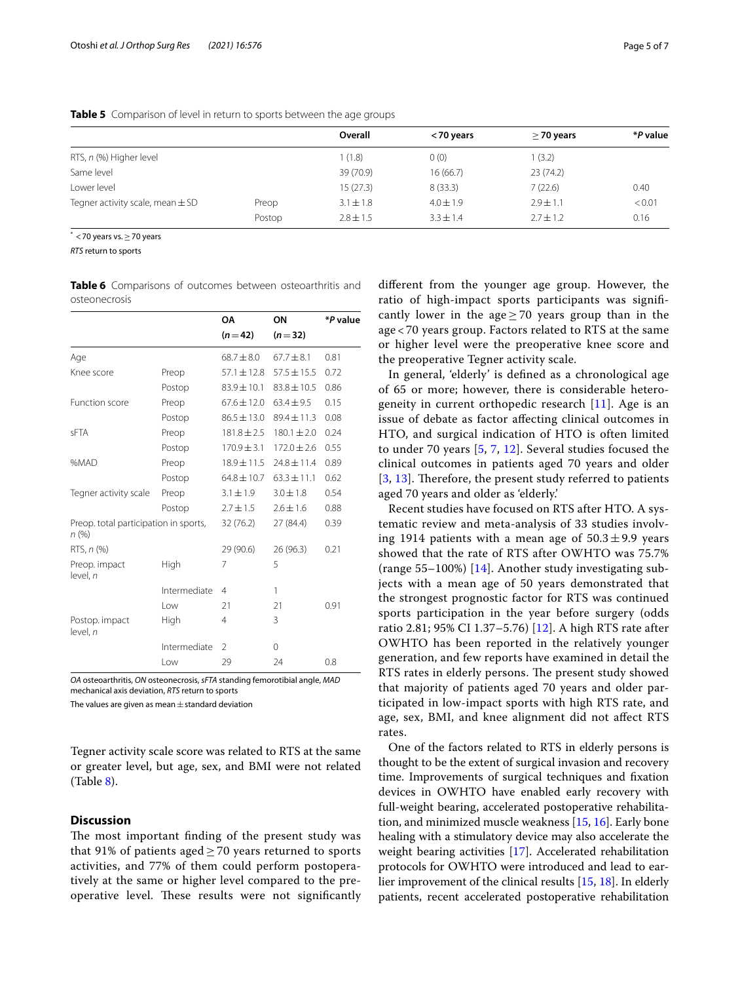|                                      |        | Overall       | <70 years     | $\geq$ 70 years | *P value |
|--------------------------------------|--------|---------------|---------------|-----------------|----------|
| RTS, n (%) Higher level              |        | 1(1.8)        | 0(0)          | 1(3.2)          |          |
| Same level                           |        | 39 (70.9)     | 16 (66.7)     | 23(74.2)        |          |
| Lower level                          |        | 15(27.3)      | 8(33.3)       | 7(22.6)         | 0.40     |
| Tegner activity scale, mean $\pm$ SD | Preop  | $3.1 \pm 1.8$ | $4.0 \pm 1.9$ | $2.9 \pm 1.1$   | < 0.01   |
|                                      | Postop | $2.8 \pm 1.5$ | $3.3 + 1.4$   | $2.7 \pm 1.2$   | 0.16     |
|                                      |        |               |               |                 |          |

<span id="page-4-0"></span>**Table 5** Comparison of level in return to sports between the age groups

 $<sup>*</sup> < 70$  years vs.  $> 70$  years</sup>

*RTS* return to sports

<span id="page-4-1"></span>**Table 6** Comparisons of outcomes between osteoarthritis and osteonecrosis

|                                               |              | <b>OA</b>       | ON              | *P value |
|-----------------------------------------------|--------------|-----------------|-----------------|----------|
|                                               |              | $(n=42)$        | $(n=32)$        |          |
| Age                                           |              | $68.7 + 8.0$    | $67.7 + 8.1$    | 0.81     |
| Knee score                                    | Preop        | $57.1 \pm 12.8$ | $57.5 \pm 15.5$ | 0.72     |
|                                               | Postop       | $83.9 \pm 10.1$ | $83.8 \pm 10.5$ | 0.86     |
| Function score                                | Preop        | $67.6 \pm 12.0$ | $63.4 \pm 9.5$  | 0.15     |
|                                               | Postop       | $86.5 \pm 13.0$ | $89.4 \pm 11.3$ | 0.08     |
| <b>SFTA</b>                                   | Preop        | $181.8 \pm 2.5$ | $180.1 \pm 2.0$ | 0.24     |
|                                               | Postop       | $170.9 \pm 3.1$ | $172.0 \pm 2.6$ | 0.55     |
| %MAD                                          | Preop        | $18.9 \pm 11.5$ | $24.8 \pm 11.4$ | 0.89     |
|                                               | Postop       | $64.8 \pm 10.7$ | $63.3 \pm 11.1$ | 0.62     |
| Tegner activity scale                         | Preop        | $3.1 \pm 1.9$   | $3.0 + 1.8$     | 0.54     |
|                                               | Postop       | $2.7 \pm 1.5$   | $2.6 \pm 1.6$   | 0.88     |
| Preop. total participation in sports,<br>n(%) |              | 32 (76.2)       | 27 (84.4)       | 0.39     |
| RTS, n (%)                                    |              | 29 (90.6)       | 26(96.3)        | 0.21     |
| Preop. impact<br>level, n                     | High         | 7               | 5               |          |
|                                               | Intermediate | 4               | 1               |          |
|                                               | Low          | 21              | 21              | 0.91     |
| Postop. impact<br>level, n                    | High         | 4               | 3               |          |
|                                               | Intermediate | $\overline{2}$  | $\Omega$        |          |
|                                               | Low          | 29              | 24              | 0.8      |

*OA* osteoarthritis, *ON* osteonecrosis, *sFTA* standing femorotibial angle, *MAD* mechanical axis deviation, *RTS* return to sports

The values are given as mean $\pm$ standard deviation

Tegner activity scale score was related to RTS at the same or greater level, but age, sex, and BMI were not related (Table [8](#page-5-1)).

## **Discussion**

The most important finding of the present study was that 91% of patients aged  $\geq$  70 years returned to sports activities, and 77% of them could perform postoperatively at the same or higher level compared to the preoperative level. These results were not significantly diferent from the younger age group. However, the ratio of high-impact sports participants was signifcantly lower in the age  $\geq$  70 years group than in the age < 70 years group. Factors related to RTS at the same or higher level were the preoperative knee score and the preoperative Tegner activity scale.

In general, 'elderly' is defned as a chronological age of 65 or more; however, there is considerable heterogeneity in current orthopedic research  $[11]$  $[11]$ . Age is an issue of debate as factor afecting clinical outcomes in HTO, and surgical indication of HTO is often limited to under 70 years [[5,](#page-6-4) [7](#page-6-5), [12](#page-6-10)]. Several studies focused the clinical outcomes in patients aged 70 years and older  $[3, 13]$  $[3, 13]$  $[3, 13]$  $[3, 13]$  $[3, 13]$ . Therefore, the present study referred to patients aged 70 years and older as 'elderly.'

Recent studies have focused on RTS after HTO. A systematic review and meta-analysis of 33 studies involving 1914 patients with a mean age of  $50.3 \pm 9.9$  years showed that the rate of RTS after OWHTO was 75.7% (range 55–100%) [[14](#page-6-12)]. Another study investigating subjects with a mean age of 50 years demonstrated that the strongest prognostic factor for RTS was continued sports participation in the year before surgery (odds ratio 2.81; 95% CI 1.37–5.76) [[12\]](#page-6-10). A high RTS rate after OWHTO has been reported in the relatively younger generation, and few reports have examined in detail the RTS rates in elderly persons. The present study showed that majority of patients aged 70 years and older participated in low-impact sports with high RTS rate, and age, sex, BMI, and knee alignment did not afect RTS rates.

One of the factors related to RTS in elderly persons is thought to be the extent of surgical invasion and recovery time. Improvements of surgical techniques and fxation devices in OWHTO have enabled early recovery with full-weight bearing, accelerated postoperative rehabilitation, and minimized muscle weakness [[15,](#page-6-13) [16\]](#page-6-14). Early bone healing with a stimulatory device may also accelerate the weight bearing activities [\[17\]](#page-6-15). Accelerated rehabilitation protocols for OWHTO were introduced and lead to earlier improvement of the clinical results [\[15,](#page-6-13) [18](#page-6-16)]. In elderly patients, recent accelerated postoperative rehabilitation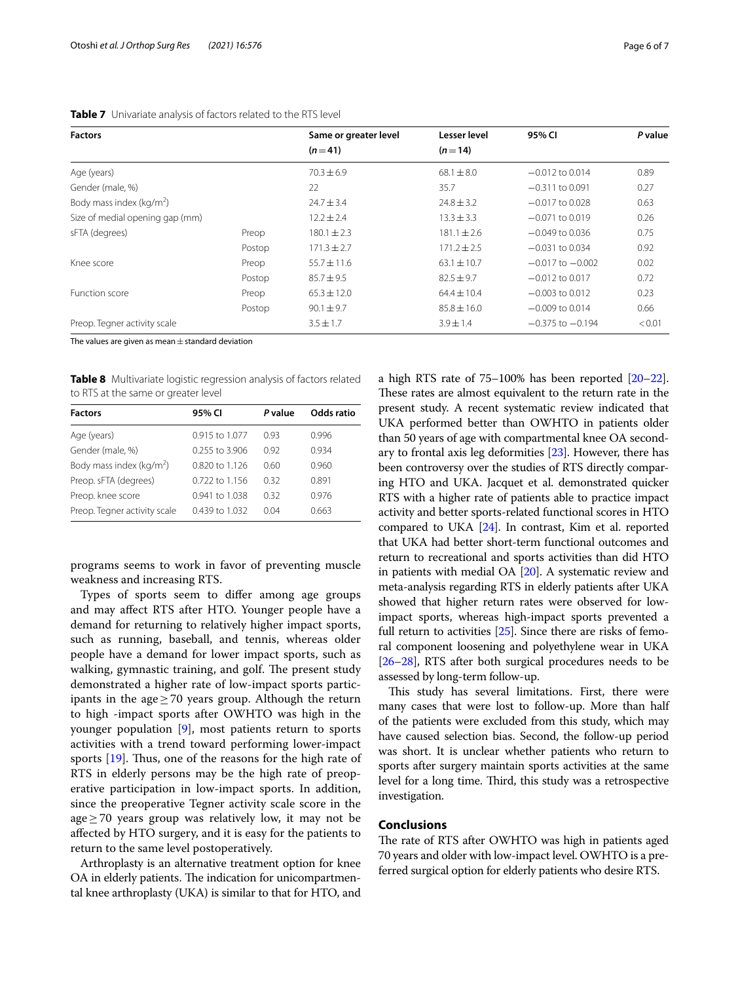## <span id="page-5-0"></span>**Table 7** Univariate analysis of factors related to the RTS level

| <b>Factors</b>                  |        | Same or greater level | Lesser level    | 95% CI               | P value |
|---------------------------------|--------|-----------------------|-----------------|----------------------|---------|
|                                 |        | $(n=41)$              | $(n=14)$        |                      |         |
| Age (years)                     |        | $70.3 \pm 6.9$        | $68.1 \pm 8.0$  | $-0.012$ to 0.014    | 0.89    |
| Gender (male, %)                |        | 22                    | 35.7            | $-0.311$ to 0.091    | 0.27    |
| Body mass index ( $kg/m2$ )     |        | $24.7 \pm 3.4$        | $24.8 \pm 3.2$  | $-0.017$ to 0.028    | 0.63    |
| Size of medial opening gap (mm) |        | $12.2 \pm 2.4$        | $13.3 \pm 3.3$  | $-0.071$ to 0.019    | 0.26    |
| sFTA (degrees)                  | Preop  | $180.1 \pm 2.3$       | $181.1 \pm 2.6$ | $-0.049$ to 0.036    | 0.75    |
|                                 | Postop | $171.3 \pm 2.7$       | $171.2 \pm 2.5$ | $-0.031$ to 0.034    | 0.92    |
| Knee score                      | Preop  | $55.7 \pm 11.6$       | $63.1 \pm 10.7$ | $-0.017$ to $-0.002$ | 0.02    |
|                                 | Postop | $85.7 \pm 9.5$        | $82.5 \pm 9.7$  | $-0.012$ to 0.017    | 0.72    |
| Function score                  | Preop  | $65.3 \pm 12.0$       | $64.4 \pm 10.4$ | $-0.003$ to 0.012    | 0.23    |
|                                 | Postop | $90.1 \pm 9.7$        | $85.8 \pm 16.0$ | $-0.009$ to 0.014    | 0.66    |
| Preop. Tegner activity scale    |        | $3.5 \pm 1.7$         | $3.9 \pm 1.4$   | $-0.375$ to $-0.194$ | < 0.01  |

The values are given as mean  $\pm$  standard deviation

<span id="page-5-1"></span>**Table 8** Multivariate logistic regression analysis of factors related to RTS at the same or greater level

| <b>Factors</b>               | 95% CI           | P value | Odds ratio |
|------------------------------|------------------|---------|------------|
| Age (years)                  | 0.915 to 1.077   | 0.93    | 0.996      |
| Gender (male, %)             | 0.255 to 3.906   | 0.92    | 0.934      |
| Body mass index ( $kg/m2$ )  | $0.820$ to 1.126 | 0.60    | 0.960      |
| Preop. sFTA (degrees)        | 0.722 to 1.156   | 0.32    | 0.891      |
| Preop. knee score            | 0.941 to 1.038   | 0.32    | 0.976      |
| Preop. Tegner activity scale | 0.439 to 1.032   | 0.04    | 0.663      |

programs seems to work in favor of preventing muscle weakness and increasing RTS.

Types of sports seem to difer among age groups and may afect RTS after HTO. Younger people have a demand for returning to relatively higher impact sports, such as running, baseball, and tennis, whereas older people have a demand for lower impact sports, such as walking, gymnastic training, and golf. The present study demonstrated a higher rate of low-impact sports participants in the age $\geq$  70 years group. Although the return to high -impact sports after OWHTO was high in the younger population [\[9](#page-6-7)], most patients return to sports activities with a trend toward performing lower-impact sports  $[19]$  $[19]$ . Thus, one of the reasons for the high rate of RTS in elderly persons may be the high rate of preoperative participation in low-impact sports. In addition, since the preoperative Tegner activity scale score in the age≥70 years group was relatively low, it may not be afected by HTO surgery, and it is easy for the patients to return to the same level postoperatively.

Arthroplasty is an alternative treatment option for knee OA in elderly patients. The indication for unicompartmental knee arthroplasty (UKA) is similar to that for HTO, and

a high RTS rate of 75–100% has been reported [\[20–](#page-6-18)[22](#page-6-19)]. These rates are almost equivalent to the return rate in the present study. A recent systematic review indicated that UKA performed better than OWHTO in patients older than 50 years of age with compartmental knee OA secondary to frontal axis leg deformities [\[23\]](#page-6-20). However, there has been controversy over the studies of RTS directly comparing HTO and UKA. Jacquet et al. demonstrated quicker RTS with a higher rate of patients able to practice impact activity and better sports-related functional scores in HTO compared to UKA [\[24](#page-6-21)]. In contrast, Kim et al. reported that UKA had better short-term functional outcomes and return to recreational and sports activities than did HTO in patients with medial OA [[20](#page-6-18)]. A systematic review and meta-analysis regarding RTS in elderly patients after UKA showed that higher return rates were observed for lowimpact sports, whereas high-impact sports prevented a full return to activities [\[25\]](#page-6-22). Since there are risks of femoral component loosening and polyethylene wear in UKA [[26](#page-6-23)[–28\]](#page-6-24), RTS after both surgical procedures needs to be assessed by long-term follow-up.

This study has several limitations. First, there were many cases that were lost to follow-up. More than half of the patients were excluded from this study, which may have caused selection bias. Second, the follow-up period was short. It is unclear whether patients who return to sports after surgery maintain sports activities at the same level for a long time. Third, this study was a retrospective investigation.

## **Conclusions**

The rate of RTS after OWHTO was high in patients aged 70 years and older with low-impact level. OWHTO is a preferred surgical option for elderly patients who desire RTS.